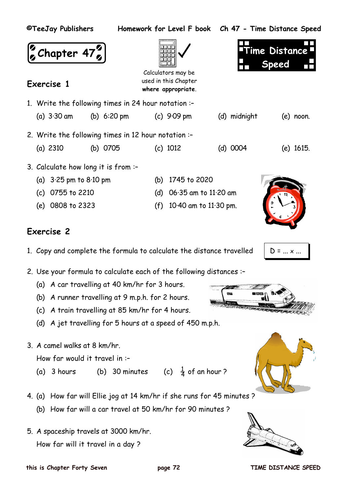| ©TeeJay Publishers                                  |          |                                                                   |                         | Homework for Level F book Ch 47 - Time Distance Speed |  |  |  |  |  |  |  |
|-----------------------------------------------------|----------|-------------------------------------------------------------------|-------------------------|-------------------------------------------------------|--|--|--|--|--|--|--|
| $\binom{5}{2}$ Chapter 47 $\binom{5}{2}$            |          | Calculators may be<br>used in this Chapter                        |                         | Time Distance <b>"</b><br><b>Speed</b>                |  |  |  |  |  |  |  |
| Exercise 1                                          |          | where appropriate.                                                |                         |                                                       |  |  |  |  |  |  |  |
| 1. Write the following times in 24 hour notation :- |          |                                                                   |                         |                                                       |  |  |  |  |  |  |  |
|                                                     |          | (a) $3.30 \text{ am}$ (b) $6.20 \text{ pm}$ (c) $9.09 \text{ pm}$ | (d) midnight            | $(e)$ noon.                                           |  |  |  |  |  |  |  |
| 2. Write the following times in 12 hour notation :- |          |                                                                   |                         |                                                       |  |  |  |  |  |  |  |
| (a) $2310$                                          | (b) 0705 | $(c)$ 1012                                                        | (d) 0004                | $(e)$ 1615.                                           |  |  |  |  |  |  |  |
| 3. Calculate how long it is from :-                 |          |                                                                   |                         |                                                       |  |  |  |  |  |  |  |
| (a) $3.25 \text{ pm}$ to $8.10 \text{ pm}$          |          | 1745 to 2020<br>(b)                                               |                         |                                                       |  |  |  |  |  |  |  |
| (c) 0755 to 2210                                    |          | (d)                                                               | $06.35$ am to 11.20 am  |                                                       |  |  |  |  |  |  |  |
| (e) 0808 to 2323                                    |          | (f)                                                               | 10.40 am to $11.30$ pm. |                                                       |  |  |  |  |  |  |  |

- 1. Copy and complete the formula to calculate the distance travelled  $\Box$   $\Box$  = ... x ...
- 2. Use your formula to calculate each of the following distances :–
	- (a) A car travelling at 40 km/hr for 3 hours.
	- (b) A runner travelling at 9 m.p.h. for 2 hours.
	- (c) A train travelling at 85 km/hr for 4 hours.
	- (d) A jet travelling for 5 hours at a speed of 450 m.p.h.
- 3. A camel walks at 8 km/hr.

How far would it travel in :–

- (a) 3 hours (b) 30 minutes (c)  $\frac{1}{4}$  of an hour ?
- 4. (a) How far will Ellie jog at 14 km/hr if she runs for 45 minutes ?
	- (b) How far will a car travel at 50 km/hr for 90 minutes ?
- 5. A spaceship travels at 3000 km/hr. How far will it travel in a day ?









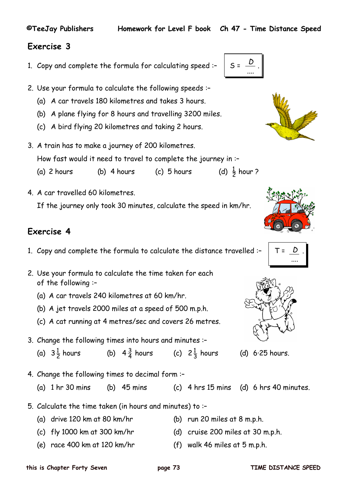- 1. Copy and complete the formula for calculating speed :-  $\Big|$  S =
- 2. Use your formula to calculate the following speeds :–
	- (a) A car travels 180 kilometres and takes 3 hours.
	- (b) A plane flying for 8 hours and travelling 3200 miles.
	- (c) A bird flying 20 kilometres and taking 2 hours.
- 3. A train has to make a journey of 200 kilometres. How fast would it need to travel to complete the journey in :–
	- (a)  $2$  hours (b)  $4$  hours (c)  $5$  hours  $\frac{1}{2}$  hour ?
- 4. A car travelled 60 kilometres. If the journey only took 30 minutes, calculate the speed in km/hr.

## **Exercise 4**

- 1. Copy and complete the formula to calculate the distance travelled :-  $\begin{vmatrix} 1 & 1 \\ 1 & 1 \end{vmatrix}$
- 2. Use your formula to calculate the time taken for each of the following :–
	- (a) A car travels 240 kilometres at 60 km/hr.
	- (b) A jet travels 2000 miles at a speed of 500 m.p.h.
	- (c) A cat running at 4 metres/sec and covers 26 metres.
- 3. Change the following times into hours and minutes :–
	- (a)  $3\frac{1}{2}$  hours (b) 4  $\frac{3}{4}$  hours (c) 2 (c)  $2\frac{1}{3}$  hours
- 4. Change the following times to decimal form :–
	- (a)  $1 \text{ hr } 30 \text{ mins}$  (b)  $45 \text{ mins}$  (c)  $4 \text{ hrs } 15 \text{ mins}$  (d)  $6 \text{ hrs } 40 \text{ minutes}$ .
- 5. Calculate the time taken (in hours and minutes) to :–
	- (a) drive 120 km at 80 km/hr (b) run 20 miles at 8 m.p.h.
	- (c) fly 1000 km at 300 km/hr  $(d)$  cruise 200 miles at 30 m.p.h.
	- (e) race 400 km at 120 km/hr (f) walk 46 miles at 5 m.p.h.
- -







(d)  $6.25$  hours.





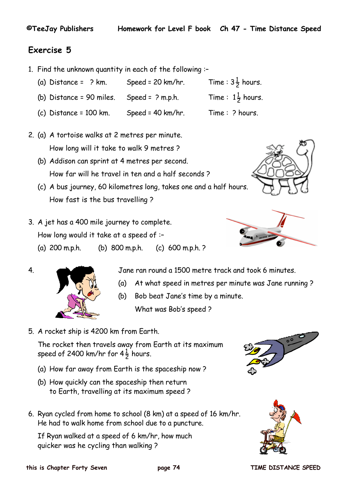- 1. Find the unknown quantity in each of the following :–
	- (a) Distance =  $?$  km. Speed = 20 km/hr.  $\frac{1}{2}$  hours.
	- (b) Distance = 90 miles. Speed =  $?$  m.p.h.  $\frac{1}{2}$  hours.
	- (c) Distance = 100 km. Speed = 40 km/hr. Time :  $\hat{P}$  hours.
- 2. (a) A tortoise walks at 2 metres per minute. How long will it take to walk 9 metres ?
	- (b) Addison can sprint at 4 metres per second. How far will he travel in ten and a half seconds ?
	- (c) A bus journey, 60 kilometres long, takes one and a half hours. How fast is the bus travelling ?
- 3. A jet has a 400 mile journey to complete. How long would it take at a speed of :– (a) 200 m.p.h. (b) 800 m.p.h. (c) 600 m.p.h. ?







4. Jane ran round a 1500 metre track and took 6 minutes.

- (a) At what speed in metres per minute was Jane running ?
- (b) Bob beat Jane's time by a minute. What was Bob's speed ?
- 5. A rocket ship is 4200 km from Earth.

The rocket then travels away from Earth at its maximum speed of 2400 km/hr for 4 $\frac{1}{2}$  hours.

- (a) How far away from Earth is the spaceship now ?
- (b) How quickly can the spaceship then return to Earth, travelling at its maximum speed ?
- 6. Ryan cycled from home to school (8 km) at a speed of 16 km/hr. He had to walk home from school due to a puncture.

If Ryan walked at a speed of 6 km/hr, how much quicker was he cycling than walking ?



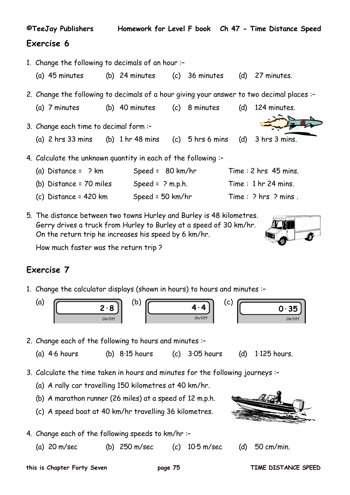|                                                   | ©TeeJay Publishers                                                                                                                                 |  |                                                   |  |  |  |  | Homework for Level F book Ch 47 - Time Distance Speed |  |  |  |
|---------------------------------------------------|----------------------------------------------------------------------------------------------------------------------------------------------------|--|---------------------------------------------------|--|--|--|--|-------------------------------------------------------|--|--|--|
| Exercise 6                                        |                                                                                                                                                    |  |                                                   |  |  |  |  |                                                       |  |  |  |
| 1. Change the following to decimals of an hour :- |                                                                                                                                                    |  |                                                   |  |  |  |  |                                                       |  |  |  |
|                                                   | (a) 45 minutes                                                                                                                                     |  | (b) 24 minutes $(c)$ 36 minutes $(d)$ 27 minutes. |  |  |  |  |                                                       |  |  |  |
|                                                   | 2. Change the following to decimals of a hour giving your answer to two decimal places :-                                                          |  |                                                   |  |  |  |  |                                                       |  |  |  |
|                                                   | (a) 7 minutes                                                                                                                                      |  | (b) 40 minutes (c) 8 minutes                      |  |  |  |  | $(d)$ 124 minutes.                                    |  |  |  |
|                                                   | 3. Change each time to decimal form :-                                                                                                             |  |                                                   |  |  |  |  |                                                       |  |  |  |
|                                                   | (a) $2 \text{ hrs } 33 \text{ mins}$ (b) $1 \text{ hr } 48 \text{ mins}$ (c) $5 \text{ hrs } 6 \text{ mins}$ (d) $3 \text{ hrs } 3 \text{ mins}$ . |  |                                                   |  |  |  |  |                                                       |  |  |  |
|                                                   | 4. Calculate the unknown quantity in each of the following :-                                                                                      |  |                                                   |  |  |  |  |                                                       |  |  |  |
|                                                   | (a) $Distance = ?$ km                                                                                                                              |  | Speed = $80 \text{ km/hr}$                        |  |  |  |  | Time: $2$ hrs $45$ mins.                              |  |  |  |
|                                                   | (b) Distance = $70$ miles                                                                                                                          |  | Speed = $?$ m.p.h.                                |  |  |  |  | Time: $1 \text{ hr} 24 \text{ mins}$ .                |  |  |  |
|                                                   | (c) Distance = $420$ km                                                                                                                            |  | Speed = $50$ km/hr                                |  |  |  |  | Time: ? hrs ? mins.                                   |  |  |  |

5. The distance between two towns Hurley and Burley is 48 kilometres. Gerry drives a truck from Hurley to Burley at a speed of 30 km/hr. On the return trip he increases his speed by 6 km/hr.

How much faster was the return trip ?

### **Exercise 7**

1. Change the calculator displays (shown in hours) to hours and minutes :–



- 2. Change each of the following to hours and minutes :–
	- (a) 4·6 hours (b) 8·15 hours (c) 3·05 hours (d) 1·125 hours.
- 3. Calculate the time taken in hours and minutes for the following journeys :–
	- (a) A rally car travelling 150 kilometres at 40 km/hr.
	- (b) A marathon runner (26 miles) at a speed of 12 m.p.h.
	- (c) A speed boat at 40 km/hr travelling 36 kilometres.
- 4. Change each of the following speeds to km/hr :–
	- (a) 20 m/sec (b) 250 m/sec (c) 10·5 m/sec (d) 50 cm/min.





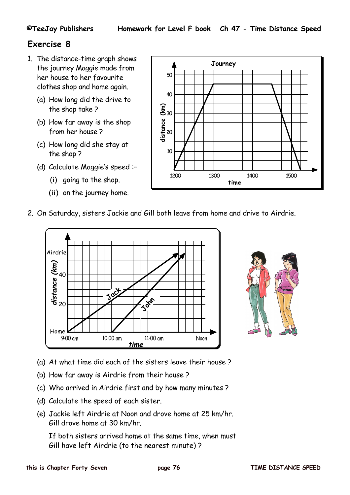- 1. The distance-time graph shows the journey Maggie made from her house to her favourite clothes shop and home again.
	- (a) How long did the drive to the shop take ?
	- (b) How far away is the shop from her house ?
	- (c) How long did she stay at the shop ?
	- (d) Calculate Maggie's speed :–
		- (i) going to the shop.
		- (ii) on the journey home.



2. On Saturday, sisters Jackie and Gill both leave from home and drive to Airdrie.





- (a) At what time did each of the sisters leave their house ?
- (b) How far away is Airdrie from their house ?
- (c) Who arrived in Airdrie first and by how many minutes ?
- (d) Calculate the speed of each sister.
- (e) Jackie left Airdrie at Noon and drove home at 25 km/hr. Gill drove home at 30 km/hr.

If both sisters arrived home at the same time, when must Gill have left Airdrie (to the nearest minute) ?